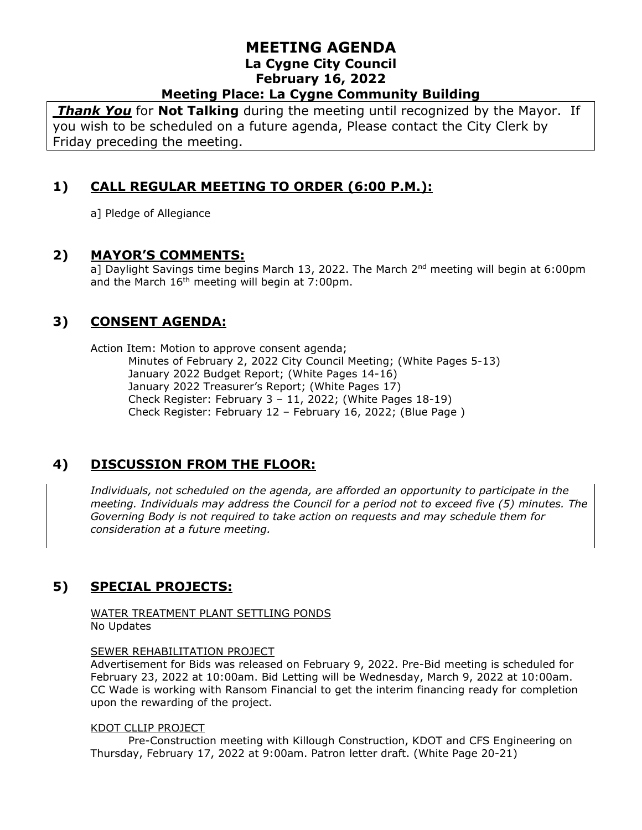*Thank You* for **Not Talking** during the meeting until recognized by the Mayor. If you wish to be scheduled on a future agenda, Please contact the City Clerk by Friday preceding the meeting.

# **1) CALL REGULAR MEETING TO ORDER (6:00 P.M.):**

a] Pledge of Allegiance

#### **2) MAYOR'S COMMENTS:**

a] Daylight Savings time begins March 13, 2022. The March 2<sup>nd</sup> meeting will begin at 6:00pm and the March  $16<sup>th</sup>$  meeting will begin at 7:00pm.

## **3) CONSENT AGENDA:**

Action Item: Motion to approve consent agenda; Minutes of February 2, 2022 City Council Meeting; (White Pages 5-13) January 2022 Budget Report; (White Pages 14-16) January 2022 Treasurer's Report; (White Pages 17) Check Register: February 3 – 11, 2022; (White Pages 18-19) Check Register: February 12 – February 16, 2022; (Blue Page )

## **4) DISCUSSION FROM THE FLOOR:**

*Individuals, not scheduled on the agenda, are afforded an opportunity to participate in the meeting. Individuals may address the Council for a period not to exceed five (5) minutes. The Governing Body is not required to take action on requests and may schedule them for consideration at a future meeting.* 

# **5) SPECIAL PROJECTS:**

WATER TREATMENT PLANT SETTLING PONDS No Updates

#### SEWER REHABILITATION PROJECT

Advertisement for Bids was released on February 9, 2022. Pre-Bid meeting is scheduled for February 23, 2022 at 10:00am. Bid Letting will be Wednesday, March 9, 2022 at 10:00am. CC Wade is working with Ransom Financial to get the interim financing ready for completion upon the rewarding of the project.

#### KDOT CLLIP PROJECT

Pre-Construction meeting with Killough Construction, KDOT and CFS Engineering on Thursday, February 17, 2022 at 9:00am. Patron letter draft. (White Page 20-21)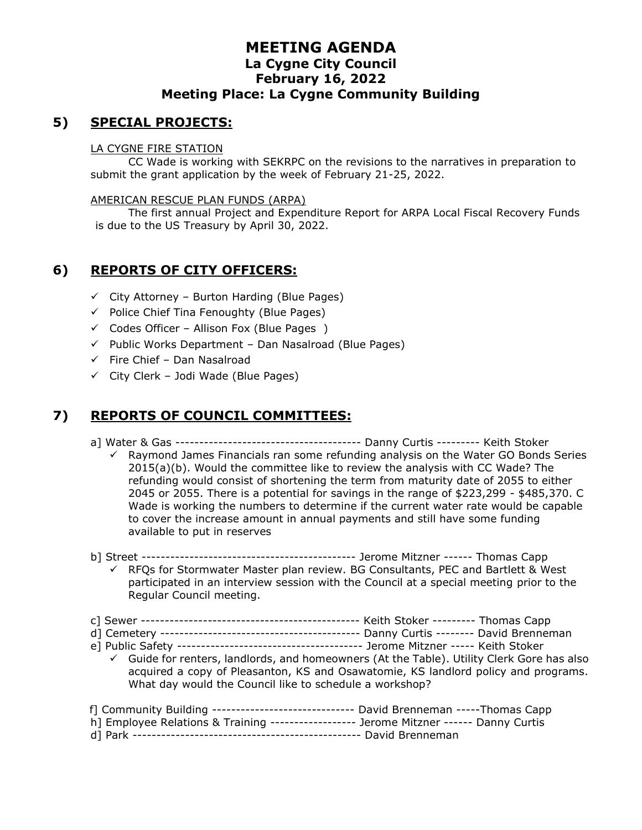## **5) SPECIAL PROJECTS:**

#### LA CYGNE FIRE STATION

CC Wade is working with SEKRPC on the revisions to the narratives in preparation to submit the grant application by the week of February 21-25, 2022.

#### AMERICAN RESCUE PLAN FUNDS (ARPA)

The first annual Project and Expenditure Report for ARPA Local Fiscal Recovery Funds is due to the US Treasury by April 30, 2022.

## **6) REPORTS OF CITY OFFICERS:**

- $\checkmark$  City Attorney Burton Harding (Blue Pages)
- ✓ Police Chief Tina Fenoughty (Blue Pages)
- $\checkmark$  Codes Officer Allison Fox (Blue Pages )
- $\checkmark$  Public Works Department Dan Nasalroad (Blue Pages)
- $\checkmark$  Fire Chief Dan Nasalroad
- $\checkmark$  City Clerk Jodi Wade (Blue Pages)

## **7) REPORTS OF COUNCIL COMMITTEES:**

- a] Water & Gas --------------------------------------- Danny Curtis --------- Keith Stoker
	- ✓ Raymond James Financials ran some refunding analysis on the Water GO Bonds Series 2015(a)(b). Would the committee like to review the analysis with CC Wade? The refunding would consist of shortening the term from maturity date of 2055 to either 2045 or 2055. There is a potential for savings in the range of \$223,299 - \$485,370. C Wade is working the numbers to determine if the current water rate would be capable to cover the increase amount in annual payments and still have some funding available to put in reserves
- b] Street --------------------------------------------- Jerome Mitzner ------ Thomas Capp ✓ RFQs for Stormwater Master plan review. BG Consultants, PEC and Bartlett & West participated in an interview session with the Council at a special meeting prior to the Regular Council meeting.
- c] Sewer ---------------------------------------------- Keith Stoker --------- Thomas Capp d] Cemetery ------------------------------------------ Danny Curtis -------- David Brenneman e] Public Safety --------------------------------------- Jerome Mitzner ----- Keith Stoker ✓ Guide for renters, landlords, and homeowners (At the Table). Utility Clerk Gore has also acquired a copy of Pleasanton, KS and Osawatomie, KS landlord policy and programs. What day would the Council like to schedule a workshop? f] Community Building ------------------------------ David Brenneman -----Thomas Capp h] Employee Relations & Training ------------------ Jerome Mitzner ------ Danny Curtis
- d] Park ------------------------------------------------ David Brenneman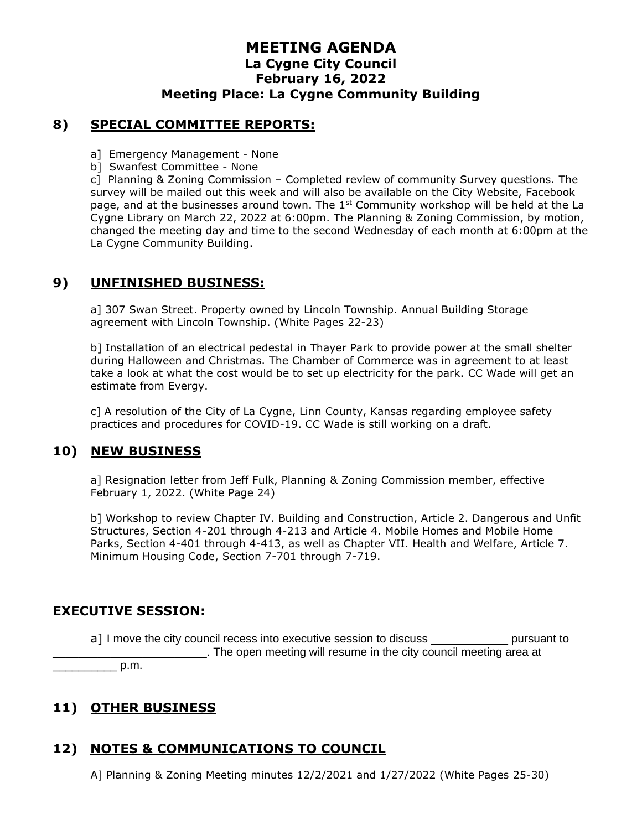## **8) SPECIAL COMMITTEE REPORTS:**

- a] Emergency Management None
- b] Swanfest Committee None

c] Planning & Zoning Commission – Completed review of community Survey questions. The survey will be mailed out this week and will also be available on the City Website, Facebook page, and at the businesses around town. The 1<sup>st</sup> Community workshop will be held at the La Cygne Library on March 22, 2022 at 6:00pm. The Planning & Zoning Commission, by motion, changed the meeting day and time to the second Wednesday of each month at 6:00pm at the La Cygne Community Building.

## **9) UNFINISHED BUSINESS:**

a] 307 Swan Street. Property owned by Lincoln Township. Annual Building Storage agreement with Lincoln Township. (White Pages 22-23)

b] Installation of an electrical pedestal in Thayer Park to provide power at the small shelter during Halloween and Christmas. The Chamber of Commerce was in agreement to at least take a look at what the cost would be to set up electricity for the park. CC Wade will get an estimate from Evergy.

c] A resolution of the City of La Cygne, Linn County, Kansas regarding employee safety practices and procedures for COVID-19. CC Wade is still working on a draft.

### **10) NEW BUSINESS**

a] Resignation letter from Jeff Fulk, Planning & Zoning Commission member, effective February 1, 2022. (White Page 24)

b] Workshop to review Chapter IV. Building and Construction, Article 2. Dangerous and Unfit Structures, Section 4-201 through 4-213 and Article 4. Mobile Homes and Mobile Home Parks, Section 4-401 through 4-413, as well as Chapter VII. Health and Welfare, Article 7. Minimum Housing Code, Section 7-701 through 7-719.

### **EXECUTIVE SESSION:**

a] I move the city council recess into executive session to discuss \_\_\_\_\_\_\_\_\_\_\_\_\_\_ pursuant to \_\_\_\_\_\_\_\_\_\_\_\_\_\_\_\_\_\_\_\_\_\_\_\_. The open meeting will resume in the city council meeting area at  $p.m.$ 

# **11) OTHER BUSINESS**

# **12) NOTES & COMMUNICATIONS TO COUNCIL**

A] Planning & Zoning Meeting minutes 12/2/2021 and 1/27/2022 (White Pages 25-30)